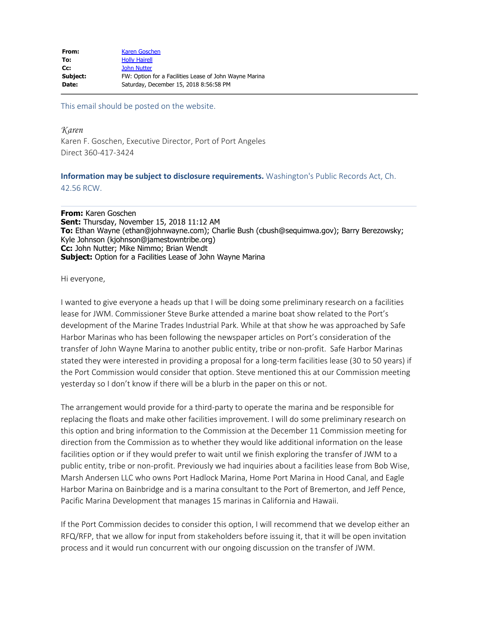| From:    | Karen Goschen                                          |
|----------|--------------------------------------------------------|
| To:      | <b>Holly Hairell</b>                                   |
| $Cc$ :   | <b>John Nutter</b>                                     |
| Subject: | FW: Option for a Facilities Lease of John Wayne Marina |
| Date:    | Saturday, December 15, 2018 8:56:58 PM                 |

This email should be posted on the website.

*Karen* Karen F. Goschen, Executive Director, Port of Port Angeles Direct 360-417-3424

## **Information may be subject to disclosure requirements.** Washington's Public Records Act, Ch. 42.56 RCW.

**From:** Karen Goschen **Sent:** Thursday, November 15, 2018 11:12 AM **To:** Ethan Wayne (ethan@johnwayne.com); Charlie Bush (cbush@sequimwa.gov); Barry Berezowsky; Kyle Johnson (kjohnson@jamestowntribe.org) **Cc:** John Nutter; Mike Nimmo; Brian Wendt **Subject:** Option for a Facilities Lease of John Wayne Marina

Hi everyone,

I wanted to give everyone a heads up that I will be doing some preliminary research on a facilities lease for JWM. Commissioner Steve Burke attended a marine boat show related to the Port's development of the Marine Trades Industrial Park. While at that show he was approached by Safe Harbor Marinas who has been following the newspaper articles on Port's consideration of the transfer of John Wayne Marina to another public entity, tribe or non-profit. Safe Harbor Marinas stated they were interested in providing a proposal for a long-term facilities lease (30 to 50 years) if the Port Commission would consider that option. Steve mentioned this at our Commission meeting yesterday so I don't know if there will be a blurb in the paper on this or not.

The arrangement would provide for a third-party to operate the marina and be responsible for replacing the floats and make other facilities improvement. I will do some preliminary research on this option and bring information to the Commission at the December 11 Commission meeting for direction from the Commission as to whether they would like additional information on the lease facilities option or if they would prefer to wait until we finish exploring the transfer of JWM to a public entity, tribe or non-profit. Previously we had inquiries about a facilities lease from Bob Wise, Marsh Andersen LLC who owns Port Hadlock Marina, Home Port Marina in Hood Canal, and Eagle Harbor Marina on Bainbridge and is a marina consultant to the Port of Bremerton, and Jeff Pence, Pacific Marina Development that manages 15 marinas in California and Hawaii.

If the Port Commission decides to consider this option, I will recommend that we develop either an RFQ/RFP, that we allow for input from stakeholders before issuing it, that it will be open invitation process and it would run concurrent with our ongoing discussion on the transfer of JWM.